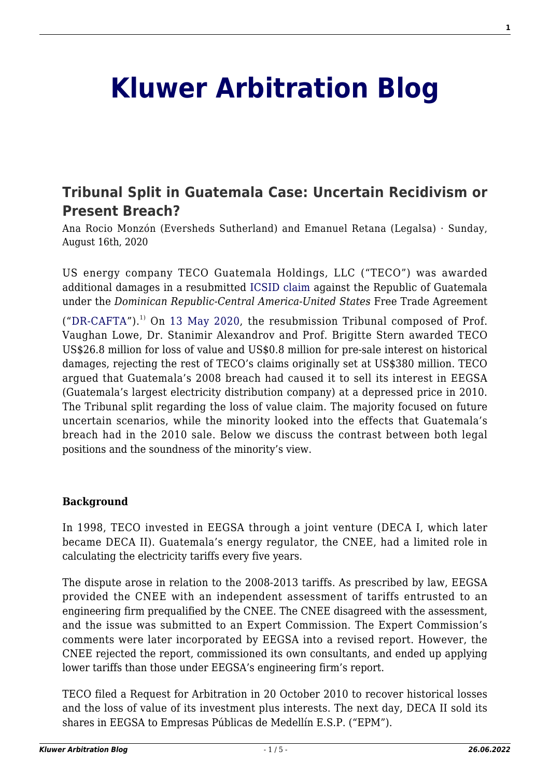# **[Kluwer Arbitration Blog](http://arbitrationblog.kluwerarbitration.com/)**

# **[Tribunal Split in Guatemala Case: Uncertain Recidivism or](http://arbitrationblog.kluwerarbitration.com/2020/08/16/tribunal-split-in-guatemala-case-uncertain-recidivism-or-present-breach/) [Present Breach?](http://arbitrationblog.kluwerarbitration.com/2020/08/16/tribunal-split-in-guatemala-case-uncertain-recidivism-or-present-breach/)**

Ana Rocio Monzón (Eversheds Sutherland) and Emanuel Retana (Legalsa) · Sunday, August 16th, 2020

US energy company TECO Guatemala Holdings, LLC ("TECO") was awarded additional damages in a resubmitted [ICSID claim](https://icsid.worldbank.org/en/Pages/cases/casedetail.aspx?CaseNo=ARB/10/23) against the Republic of Guatemala under the *Dominican Republic-Central America-United States* Free Trade Agreement

("[DR-CAFTA"](https://www.kluwerarbitration.com/document/kli-dr-cafta-2004?q=DR-CAFTA)).<sup>1)</sup> On [13 May 2020,](http://icsidfiles.worldbank.org/icsid/ICSIDBLOBS/OnlineAwards/C1280/DS14172_En.pdf) the resubmission Tribunal composed of Prof. Vaughan Lowe, Dr. Stanimir Alexandrov and Prof. Brigitte Stern awarded TECO US\$26.8 million for loss of value and US\$0.8 million for pre-sale interest on historical damages, rejecting the rest of TECO's claims originally set at US\$380 million. TECO argued that Guatemala's 2008 breach had caused it to sell its interest in EEGSA (Guatemala's largest electricity distribution company) at a depressed price in 2010. The Tribunal split regarding the loss of value claim. The majority focused on future uncertain scenarios, while the minority looked into the effects that Guatemala's breach had in the 2010 sale. Below we discuss the contrast between both legal positions and the soundness of the minority's view.

#### **Background**

In 1998, TECO invested in EEGSA through a joint venture (DECA I, which later became DECA II). Guatemala's energy regulator, the CNEE, had a limited role in calculating the electricity tariffs every five years.

The dispute arose in relation to the 2008-2013 tariffs. As prescribed by law, EEGSA provided the CNEE with an independent assessment of tariffs entrusted to an engineering firm prequalified by the CNEE. The CNEE disagreed with the assessment, and the issue was submitted to an Expert Commission. The Expert Commission's comments were later incorporated by EEGSA into a revised report. However, the CNEE rejected the report, commissioned its own consultants, and ended up applying lower tariffs than those under EEGSA's engineering firm's report.

TECO filed a Request for Arbitration in 20 October 2010 to recover historical losses and the loss of value of its investment plus interests. The next day, DECA II sold its shares in EEGSA to Empresas Públicas de Medellín E.S.P. ("EPM").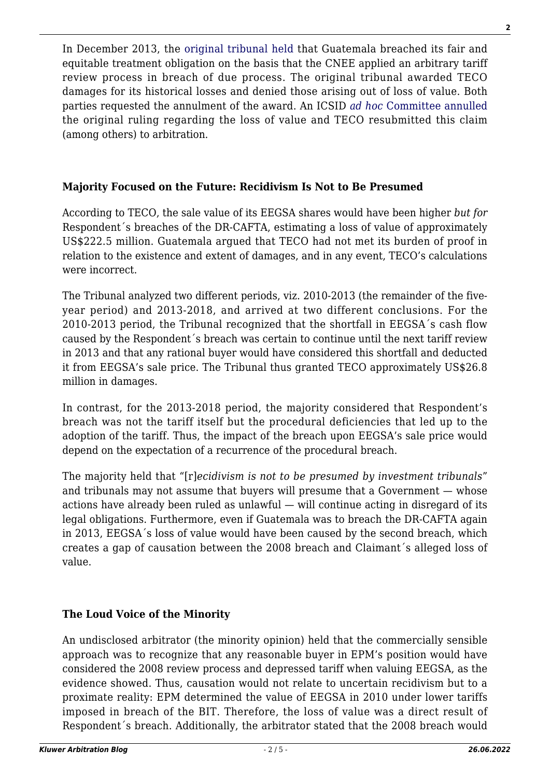In December 2013, the [original tribunal held](http://icsidfiles.worldbank.org/icsid/ICSIDBLOBS/OnlineAwards/C1280/DC4012_En.pdf) that Guatemala breached its fair and equitable treatment obligation on the basis that the CNEE applied an arbitrary tariff review process in breach of due process. The original tribunal awarded TECO damages for its historical losses and denied those arising out of loss of value. Both parties requested the annulment of the award. An ICSID *[ad hoc](http://icsidfiles.worldbank.org/icsid/ICSIDBLOBS/OnlineAwards/C1280/DC7813_En.pdf)* [Committee annulled](http://icsidfiles.worldbank.org/icsid/ICSIDBLOBS/OnlineAwards/C1280/DC7813_En.pdf) the original ruling regarding the loss of value and TECO resubmitted this claim (among others) to arbitration.

## **Majority Focused on the Future: Recidivism Is Not to Be Presumed**

According to TECO, the sale value of its EEGSA shares would have been higher *but for* Respondent´s breaches of the DR-CAFTA, estimating a loss of value of approximately US\$222.5 million. Guatemala argued that TECO had not met its burden of proof in relation to the existence and extent of damages, and in any event, TECO's calculations were incorrect.

The Tribunal analyzed two different periods, viz. 2010-2013 (the remainder of the fiveyear period) and 2013-2018, and arrived at two different conclusions. For the 2010-2013 period, the Tribunal recognized that the shortfall in EEGSA´s cash flow caused by the Respondent´s breach was certain to continue until the next tariff review in 2013 and that any rational buyer would have considered this shortfall and deducted it from EEGSA's sale price. The Tribunal thus granted TECO approximately US\$26.8 million in damages.

In contrast, for the 2013-2018 period, the majority considered that Respondent's breach was not the tariff itself but the procedural deficiencies that led up to the adoption of the tariff. Thus, the impact of the breach upon EEGSA's sale price would depend on the expectation of a recurrence of the procedural breach.

The majority held that "[r]*ecidivism is not to be presumed by investment tribunals*" and tribunals may not assume that buyers will presume that a Government — whose actions have already been ruled as unlawful — will continue acting in disregard of its legal obligations. Furthermore, even if Guatemala was to breach the DR-CAFTA again in 2013, EEGSA´s loss of value would have been caused by the second breach, which creates a gap of causation between the 2008 breach and Claimant´s alleged loss of value.

## **The Loud Voice of the Minority**

An undisclosed arbitrator (the minority opinion) held that the commercially sensible approach was to recognize that any reasonable buyer in EPM's position would have considered the 2008 review process and depressed tariff when valuing EEGSA, as the evidence showed. Thus, causation would not relate to uncertain recidivism but to a proximate reality: EPM determined the value of EEGSA in 2010 under lower tariffs imposed in breach of the BIT. Therefore, the loss of value was a direct result of Respondent´s breach. Additionally, the arbitrator stated that the 2008 breach would

**2**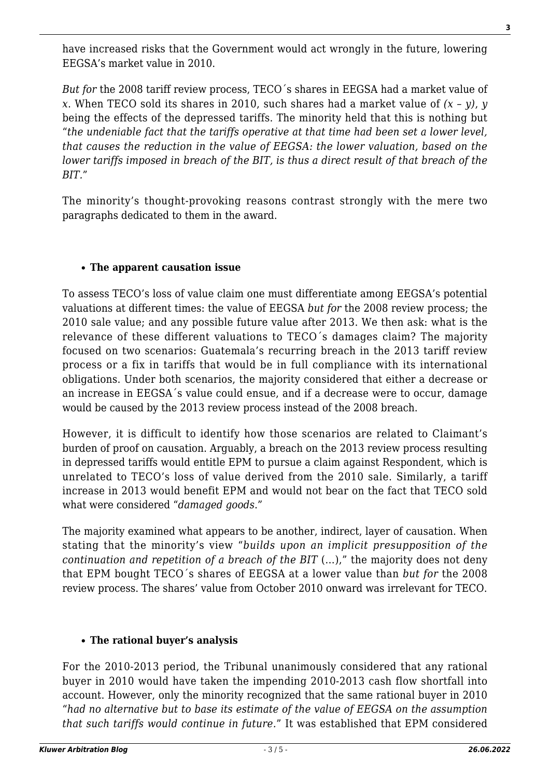have increased risks that the Government would act wrongly in the future, lowering EEGSA's market value in 2010.

*But for* the 2008 tariff review process, TECO´s shares in EEGSA had a market value of *x*. When TECO sold its shares in 2010, such shares had a market value of *(x – y)*, *y* being the effects of the depressed tariffs. The minority held that this is nothing but "*the undeniable fact that the tariffs operative at that time had been set a lower level, that causes the reduction in the value of EEGSA: the lower valuation, based on the lower tariffs imposed in breach of the BIT, is thus a direct result of that breach of the BIT.*"

The minority's thought-provoking reasons contrast strongly with the mere two paragraphs dedicated to them in the award.

#### **The apparent causation issue**

To assess TECO's loss of value claim one must differentiate among EEGSA's potential valuations at different times: the value of EEGSA *but for* the 2008 review process; the 2010 sale value; and any possible future value after 2013. We then ask: what is the relevance of these different valuations to TECO´s damages claim? The majority focused on two scenarios: Guatemala's recurring breach in the 2013 tariff review process or a fix in tariffs that would be in full compliance with its international obligations. Under both scenarios, the majority considered that either a decrease or an increase in EEGSA´s value could ensue, and if a decrease were to occur, damage would be caused by the 2013 review process instead of the 2008 breach.

However, it is difficult to identify how those scenarios are related to Claimant's burden of proof on causation. Arguably, a breach on the 2013 review process resulting in depressed tariffs would entitle EPM to pursue a claim against Respondent, which is unrelated to TECO's loss of value derived from the 2010 sale. Similarly, a tariff increase in 2013 would benefit EPM and would not bear on the fact that TECO sold what were considered "*damaged goods*."

The majority examined what appears to be another, indirect, layer of causation. When stating that the minority's view "*builds upon an implicit presupposition of the continuation and repetition of a breach of the BIT* (…)," the majority does not deny that EPM bought TECO´s shares of EEGSA at a lower value than *but for* the 2008 review process. The shares' value from October 2010 onward was irrelevant for TECO.

#### **The rational buyer's analysis**

For the 2010-2013 period, the Tribunal unanimously considered that any rational buyer in 2010 would have taken the impending 2010-2013 cash flow shortfall into account. However, only the minority recognized that the same rational buyer in 2010 "*had no alternative but to base its estimate of the value of EEGSA on the assumption that such tariffs would continue in future.*" It was established that EPM considered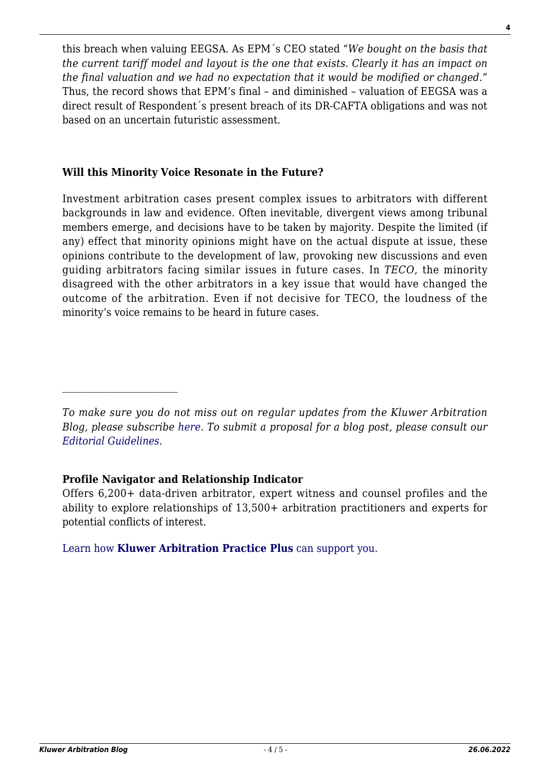this breach when valuing EEGSA. As EPM´s CEO stated "*We bought on the basis that the current tariff model and layout is the one that exists. Clearly it has an impact on the final valuation and we had no expectation that it would be modified or changed.*" Thus, the record shows that EPM's final – and diminished – valuation of EEGSA was a direct result of Respondent´s present breach of its DR-CAFTA obligations and was not based on an uncertain futuristic assessment.

#### **Will this Minority Voice Resonate in the Future?**

Investment arbitration cases present complex issues to arbitrators with different backgrounds in law and evidence. Often inevitable, divergent views among tribunal members emerge, and decisions have to be taken by majority. Despite the limited (if any) effect that minority opinions might have on the actual dispute at issue, these opinions contribute to the development of law, provoking new discussions and even guiding arbitrators facing similar issues in future cases. In *TECO*, the minority disagreed with the other arbitrators in a key issue that would have changed the outcome of the arbitration. Even if not decisive for TECO, the loudness of the minority's voice remains to be heard in future cases.

*To make sure you do not miss out on regular updates from the Kluwer Arbitration Blog, please subscribe [here](http://arbitrationblog.kluwerarbitration.com/newsletter/). To submit a proposal for a blog post, please consult our [Editorial Guidelines.](http://arbitrationblog.kluwerarbitration.com/editorial-guidelines/)*

## **Profile Navigator and Relationship Indicator**

 $\mathcal{L}_\text{max}$ 

Offers 6,200+ data-driven arbitrator, expert witness and counsel profiles and the ability to explore relationships of 13,500+ arbitration practitioners and experts for potential conflicts of interest.

[Learn how](https://www.wolterskluwer.com/en/solutions/kluwerarbitration/practiceplus?utm_source=arbitrationblog&utm_medium=articleCTA&utm_campaign=article-banner) **[Kluwer Arbitration Practice Plus](https://www.wolterskluwer.com/en/solutions/kluwerarbitration/practiceplus?utm_source=arbitrationblog&utm_medium=articleCTA&utm_campaign=article-banner)** [can support you.](https://www.wolterskluwer.com/en/solutions/kluwerarbitration/practiceplus?utm_source=arbitrationblog&utm_medium=articleCTA&utm_campaign=article-banner)